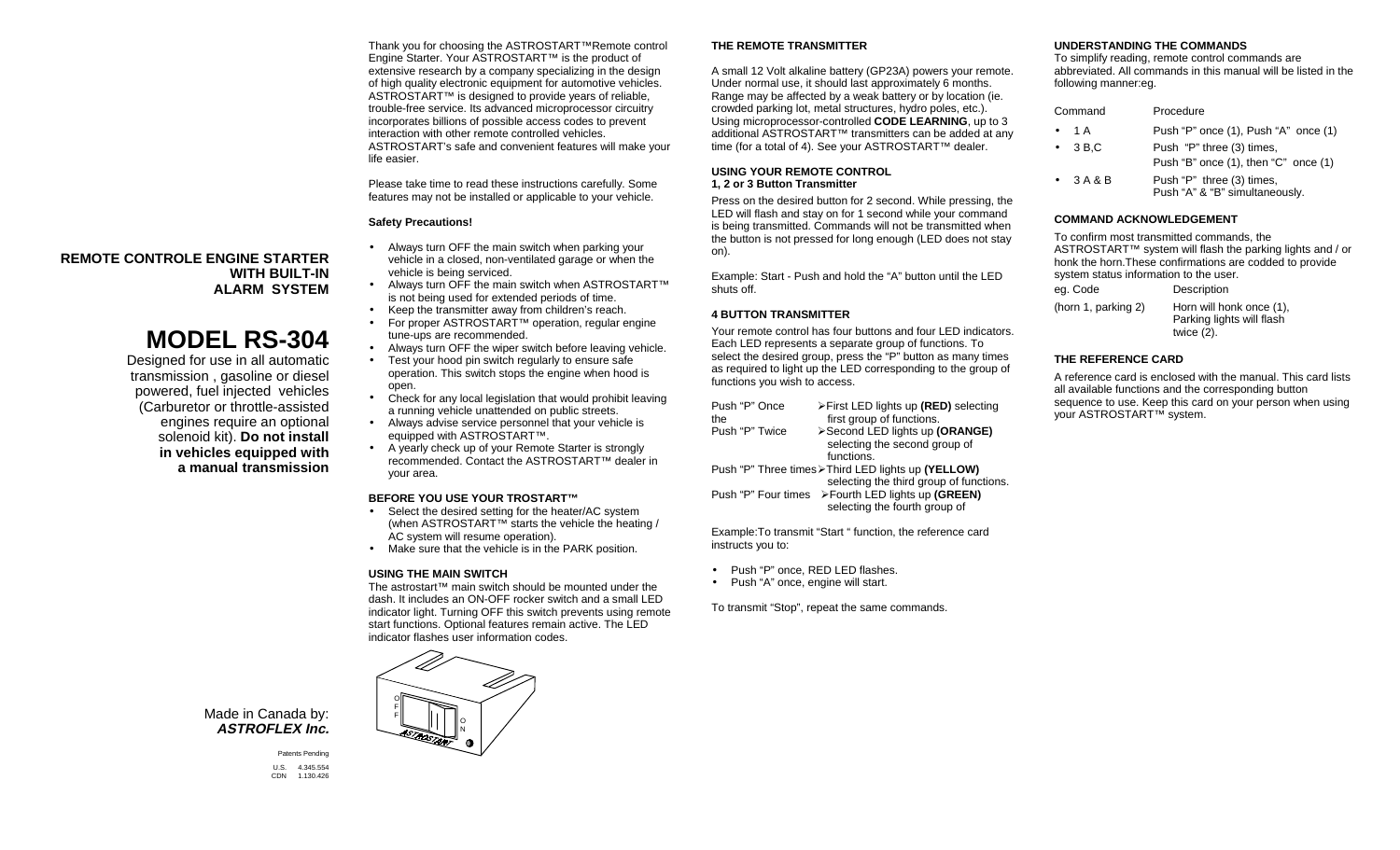Thank you for choosing the ASTROSTART™Remote control Engine Starter. Your ASTROSTART™ is the product of extensive research by a company specializing in the design of high quality electronic equipment for automotive vehicles. ASTROSTART™ is designed to provide years of reliable. trouble-free service. Its advanced microprocessor circuitry incorporates billions of possible access codes to prevent interaction with other remote controlled vehicles.ASTROSTART's safe and convenient features will make your life easier.

Please take time to read these instructions carefully. Some features may not be installed or applicable to your vehicle.

#### **Safety Precautions!**

**REMOTE CONTROLE ENGINE STARTERWITH BUILT-INALARM SYSTEM**

# **MODEL RS-304**

Designed for use in all automatic transmission , gasoline or diesel powered, fuel injected vehicles (Carburetor or throttle-assisted engines require an optional solenoid kit). **Do not install in vehicles equipped with a manual transmission**

- Always turn OFF the main switch when parking your vehicle in a closed, non-ventilated garage or when the vehicle is being serviced.
- Always turn OFF the main switch when ASTROSTART™ is not being used for extended periods of time.
- Keep the transmitter away from children's reach.
- For proper ASTROSTART™ operation, regular engine tune-ups are recommended.
- Always turn OFF the wiper switch before leaving vehicle.
- Test your hood pin switch regularly to ensure safe operation. This switch stops the engine when hood is open.
- Check for any local legislation that would prohibit leaving a running vehicle unattended on public streets.
- Always advise service personnel that your vehicle is equipped with ASTROSTART™.
- A yearly check up of your Remote Starter is strongly recommended. Contact the ASTROSTART™ dealer in your area.

#### **BEFORE YOU USE YOUR TROSTART™**

- Select the desired setting for the heater/AC system (when ASTROSTART™ starts the vehicle the heating / AC system will resume operation).
- Make sure that the vehicle is in the PARK position.

#### **USING THE MAIN SWITCH**

The astrostart™ main switch should be mounted under the dash. It includes an ON-OFF rocker switch and a small LEDindicator light. Turning OFF this switch prevents using remote start functions. Optional features remain active. The LED indicator flashes user information codes.



#### **THE REMOTE TRANSMITTER**

A small 12 Volt alkaline battery (GP23A) powers your remote. Under normal use, it should last approximately 6 months. Range may be affected by a weak battery or by location (ie. crowded parking lot, metal structures, hydro poles, etc.). Using microprocessor-controlled **CODE LEARNING**, up to 3 additional ASTROSTART™ transmitters can be added at any time (for a total of 4). See your ASTROSTART™ dealer.

#### **USING YOUR REMOTE CONTROL1, 2 or 3 Button Transmitter**

Press on the desired button for 2 second. While pressing, the LED will flash and stay on for 1 second while your command is being transmitted. Commands will not be transmitted when the button is not pressed for long enough (LED does not stay on).

Example: Start - Push and hold the "A" button until the LED shuts off.

#### **4 BUTTON TRANSMITTER**

Your remote control has four buttons and four LED indicators.Each LED represents a separate group of functions. To select the desired group, press the "P" button as many times as required to light up the LED corresponding to the group of functions you wish to access.

| Push "P" Once  | >First LED lights up (RED) selecting                  |
|----------------|-------------------------------------------------------|
| the            | first group of functions.                             |
| Push "P" Twice | >Second LED lights up (ORANGE)                        |
|                | selecting the second group of                         |
|                | functions.                                            |
|                | Push "P" Three times > Third LED lights up (YELLOW)   |
|                | selecting the third group of functions.               |
|                | Push "P" Four times    > Fourth LED lights up (GREEN) |
|                | selecting the fourth group of                         |
|                |                                                       |

Example:To transmit "Start " function, the reference card instructs you to:

- Push "P" once, RED LED flashes.
- Push "A" once, engine will start.

To transmit "Stop", repeat the same commands.

#### **UNDERSTANDING THE COMMANDS**

To simplify reading, remote control commands are abbreviated. All commands in this manual will be listed in thefollowing manner:eg.

| Command |                 | Procedure                                                              |  |
|---------|-----------------|------------------------------------------------------------------------|--|
|         | • 1 A           | Push "P" once (1), Push "A" once (1)                                   |  |
|         | $\bullet$ 3 B.C | Push "P" three (3) times,<br>Push "B" once $(1)$ , then "C" once $(1)$ |  |
|         | $-3A&B$         | Push "P" three (3) times,<br>Push "A" & "B" simultaneously.            |  |

#### **COMMAND ACKNOWLEDGEMENT**

To confirm most transmitted commands, the ASTROSTART™ system will flash the parking lights and / or honk the horn.These confirmations are codded to provide system status information to the user. eg. Code Description

| - , , ,            | ---------                 |  |
|--------------------|---------------------------|--|
| horn 1, parking 2) | Horn will honk once (1)   |  |
|                    | Parking lights will flash |  |
|                    | twice $(2)$ .             |  |

#### **THE REFERENCE CARD**

A reference card is enclosed with the manual. This card listsall available functions and the corresponding button sequence to use. Keep this card on your person when using your ASTROSTART™ system.

Made in Canada by: **ASTROFLEX Inc.**

> Patents Pending U.S. 4.345.554 CDN 1.130.426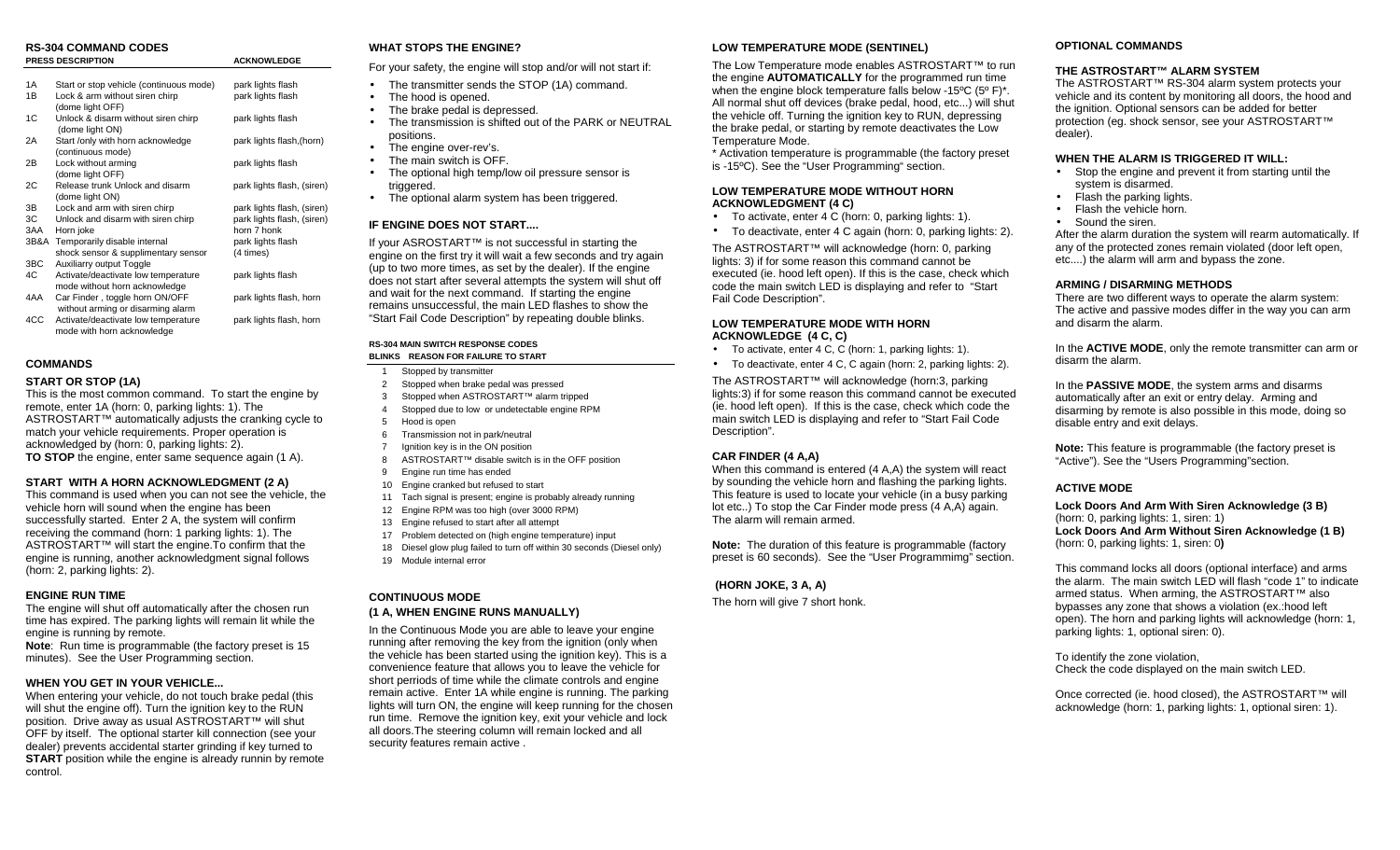#### **RS-304 COMMAND CODESPRESS DESCRIPTION ACKNOWLEDGE**

| 1A | Start or stop vehicle (continuous mode) | park lights flash |
|----|-----------------------------------------|-------------------|
| 1B | Lock & arm without siren chirp          | park lights flash |
|    | (dome light OFF)                        |                   |
|    |                                         |                   |

- 1C Unlock & disarm without siren chirp park lights flash (dome light ON)
- 2A Start /only with horn acknowledge park lights flash, (horn) (continuous mode)<br>2B I ock without armin
- Lock without arming park lights flash (dome light OFF)
- 2C Release trunk Unlock and disarm park lights flash, (siren) (dome light ON)
- 3B Lock and arm with siren chirp park lights flash, (siren)
- 3C Unlock and disarm with siren chirp park lights flash, (siren)<br>3AA Horn ioke born 7 honk
- horn 7 honk<br>park lights flash 3B&A Temporarily disable internal park light<br>shock sensor & supplimentary sensor (4 times) shock sensor & supplimentary sensor
- 
- 3BC Auxiliarry output Toggle<br>4C Activate/deactivate low t Activate/deactivate low temperature park lights flash mode without horn acknowledge
- 4AA Car Finder, toggle horn ON/OFF park lights flash, horn without arming or disarming alarm
- 4CC Activate/deactivate low temperature park lights flash, horn mode with horn acknowledge

## **COMMANDS**

#### **START OR STOP (1A)**

This is the most common command. To start the engine by remote, enter 1A (horn: 0, parking lights: 1). The ASTROSTART™ automatically adjusts the cranking cycle to match your vehicle requirements. Proper operation is acknowledged by (horn: 0, parking lights: 2). **TO STOP** the engine, enter same sequence again (1 A).

#### **START WITH A HORN ACKNOWLEDGMENT (2 A)**

This command is used when you can not see the vehicle, the vehicle horn will sound when the engine has been successfully started. Enter 2 A, the system will confirm receiving the command (horn: 1 parking lights: 1). The ASTROSTART™ will start the engine.To confirm that the engine is running, another acknowledgment signal follows (horn: 2, parking lights: 2).

#### **ENGINE RUN TIME**

The engine will shut off automatically after the chosen run time has expired. The parking lights will remain lit while the engine is running by remote.

**Note**: Run time is programmable (the factory preset is 15 minutes). See the User Programming section.

### **WHEN YOU GET IN YOUR VEHICLE...**

When entering your vehicle, do not touch brake pedal (this will shut the engine off). Turn the ignition key to the RUN position. Drive away as usual ASTROSTART™ will shut OFF by itself. The optional starter kill connection (see your dealer) prevents accidental starter grinding if key turned to **START** position while the engine is already runnin by remote control.

## **WHAT STOPS THE ENGINE?**

For your safety, the engine will stop and/or will not start if:

- The transmitter sends the STOP (1A) command.<br>• The hood is opened
- The hood is opened.
- The brake pedal is depressed.
- The transmission is shifted out of the PARK or NEUTRAL positions.
- The engine over-rev's.
- The main switch is OFF.
- The optional high temp/low oil pressure sensor is triggered.
- The optional alarm system has been triggered.

## **IF ENGINE DOES NOT START....**

If your ASROSTART™ is not successful in starting the engine on the first try it will wait a few seconds and try again (up to two more times, as set by the dealer). If the engine does not start after several attempts the system will shut off and wait for the next command. If starting the engine remains unsuccessful, the main LED flashes to show the "Start Fail Code Description" by repeating double blinks.

#### **RS-304 MAIN SWITCH RESPONSE CODESBLINKS REASON FOR FAILURE TO START**

- 1 Stopped by transmitter
- 2 Stopped when brake pedal was pressed
- 3 Stopped when ASTROSTART™ alarm tripped
- 4 Stopped due to low or undetectable engine RPM
- 5 Hood is open
- 6 Transmission not in park/neutral
- 7 Ignition key is in the ON position
- 8 ASTROSTART™ disable switch is in the OFF position
- 9 Engine run time has ended
- 10 Engine cranked but refused to start
- 11 Tach signal is present; engine is probably already running
- 12 Engine RPM was too high (over 3000 RPM)
- 13 Engine refused to start after all attempt
- 17 Problem detected on (high engine temperature) input 18 Diesel glow plug failed to turn off within 30 seconds (Diesel only)
- 19 Module internal error

## **CONTINUOUS MODE**

#### **(1 A, WHEN ENGINE RUNS MANUALLY)**

In the Continuous Mode you are able to leave your engine running after removing the key from the ignition (only when the vehicle has been started using the ignition key). This is a convenience feature that allows you to leave the vehicle for short perriods of time while the climate controls and engine remain active. Enter 1A while engine is running. The parking lights will turn ON, the engine will keep running for the chosen run time. Remove the ignition key, exit your vehicle and lock all doors.The steering column will remain locked and all security features remain active .

## **LOW TEMPERATURE MODE (SENTINEL)**

The Low Temperature mode enables ASTROSTART™ to run the engine **AUTOMATICALLY** for the programmed run time when the engine block temperature falls below -15ºC (5º F)\*. All normal shut off devices (brake pedal, hood, etc...) will shut the vehicle off. Turning the ignition key to RUN, depressing the brake pedal, or starting by remote deactivates the Low Temperature Mode.

\* Activation temperature is programmable (the factory preset is -15ºC). See the "User Programming" section.

#### **LOW TEMPERATURE MODE WITHOUT HORNACKNOWLEDGMENT (4 C)**

- To activate, enter 4 C (horn: 0, parking lights: 1).
- To deactivate, enter 4 C again (horn: 0, parking lights: 2).

The ASTROSTART™ will acknowledge (horn: 0, parking lights: 3) if for some reason this command cannot be executed (ie. hood left open). If this is the case, check which code the main switch LED is displaying and refer to "Start Fail Code Description".

#### **LOW TEMPERATURE MODE WITH HORNACKNOWLEDGE (4 C, C)**

- To activate, enter 4 C, C (horn: 1, parking lights: 1).
- To deactivate, enter 4 C, C again (horn: 2, parking lights: 2).

The ASTROSTART™ will acknowledge (horn:3, parking lights:3) if for some reason this command cannot be executed (ie. hood left open). If this is the case, check which code the main switch LED is displaying and refer to "Start Fail Code Description".

## **CAR FINDER (4 A,A)**

When this command is entered (4 A,A) the system will react by sounding the vehicle horn and flashing the parking lights. This feature is used to locate your vehicle (in a busy parking lot etc..) To stop the Car Finder mode press (4 A,A) again. The alarm will remain armed.

**Note:** The duration of this feature is programmable (factory preset is 60 seconds). See the "User Programmimg" section.

## **(HORN JOKE, 3 A, A)**

The horn will give 7 short honk.

#### **OPTIONAL COMMANDS**

#### **THE ASTROSTART™ ALARM SYSTEM**

 The ASTROSTART™ RS-304 alarm system protects your vehicle and its content by monitoring all doors, the hood and the ignition. Optional sensors can be added for better protection (eg. shock sensor, see your ASTROSTART™ dealer).

#### **WHEN THE ALARM IS TRIGGERED IT WILL:**

- Stop the engine and prevent it from starting until the system is disarmed.
- Flash the parking lights.
- Flash the vehicle horn.
- Sound the siren.

After the alarm duration the system will rearm automatically. If any of the protected zones remain violated (door left open, etc....) the alarm will arm and bypass the zone.

## **ARMING / DISARMING METHODS**

 There are two different ways to operate the alarm system: The active and passive modes differ in the way you can arm and disarm the alarm.

In the **ACTIVE MODE**, only the remote transmitter can arm or disarm the alarm.

In the **PASSIVE MODE**, the system arms and disarms automatically after an exit or entry delay. Arming and disarming by remote is also possible in this mode, doing so disable entry and exit delays.

**Note:** This feature is programmable (the factory preset is "Active"). See the "Users Programming"section.

## **ACTIVE MODE**

**Lock Doors And Arm With Siren Acknowledge (3 B)** (horn: 0, parking lights: 1, siren: 1) **Lock Doors And Arm Without Siren Acknowledge (1 B)** (horn: 0, parking lights: 1, siren: 0**)**

This command locks all doors (optional interface) and arms the alarm. The main switch LED will flash "code 1" to indicatearmed status. When arming, the ASTROSTART™ also bypasses any zone that shows a violation (ex.:hood left open). The horn and parking lights will acknowledge (horn: 1, parking lights: 1, optional siren: 0).

To identify the zone violation, Check the code displayed on the main switch LED.

Once corrected (ie. hood closed), the ASTROSTART™ will acknowledge (horn: 1, parking lights: 1, optional siren: 1).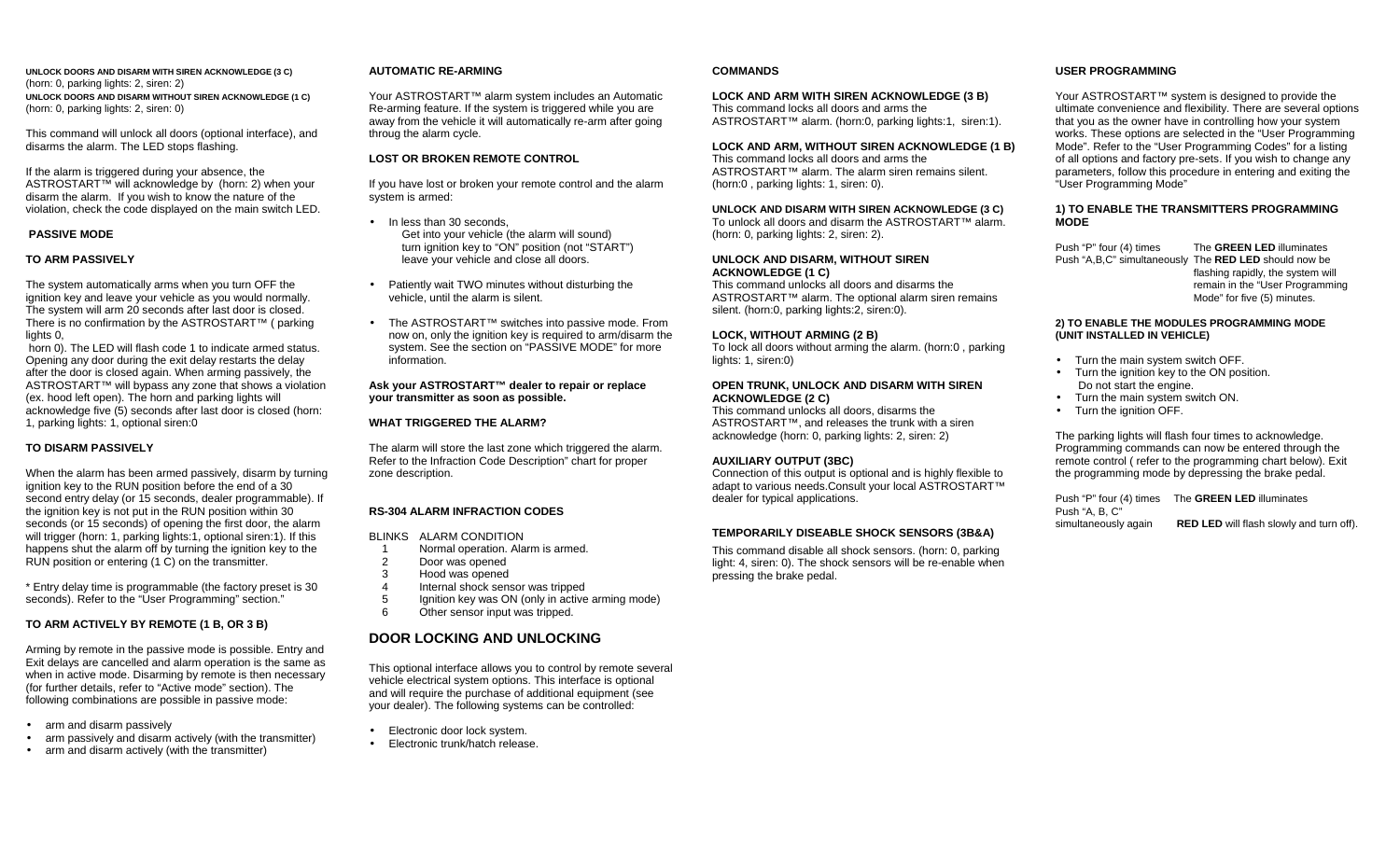**UNLOCK DOORS AND DISARM WITH SIREN ACKNOWLEDGE (3 C)** (horn: 0, parking lights: 2, siren: 2) **UNLOCK DOORS AND DISARM WITHOUT SIREN ACKNOWLEDGE (1 C)** (horn: 0, parking lights: 2, siren: 0)

This command will unlock all doors (optional interface), and disarms the alarm. The LED stops flashing.

If the alarm is triggered during your absence, the ASTROSTART™ will acknowledge by (horn: 2) when your disarm the alarm. If you wish to know the nature of the violation, check the code displayed on the main switch LED.

#### **PASSIVE MODE**

#### **TO ARM PASSIVELY**

The system automatically arms when you turn OFF the ignition key and leave your vehicle as you would normally. The system will arm 20 seconds after last door is closed. There is no confirmation by the ASTROSTART™ ( parking lights 0.

 horn 0). The LED will flash code 1 to indicate armed status. Opening any door during the exit delay restarts the delay after the door is closed again. When arming passively, the ASTROSTART™ will bypass any zone that shows a violation (ex. hood left open). The horn and parking lights will acknowledge five (5) seconds after last door is closed (horn: 1, parking lights: 1, optional siren:0

#### **TO DISARM PASSIVELY**

When the alarm has been armed passively, disarm by turning ignition key to the RUN position before the end of a 30 second entry delay (or 15 seconds, dealer programmable). If the ignition key is not put in the RUN position within 30 seconds (or 15 seconds) of opening the first door, the alarm will trigger (horn: 1, parking lights:1, optional siren:1). If this happens shut the alarm off by turning the ignition key to the RUN position or entering (1 C) on the transmitter.

\* Entry delay time is programmable (the factory preset is 30 seconds). Refer to the "User Programming" section."

#### **TO ARM ACTIVELY BY REMOTE (1 B, OR 3 B)**

Arming by remote in the passive mode is possible. Entry and Exit delays are cancelled and alarm operation is the same as when in active mode. Disarming by remote is then necessary (for further details, refer to "Active mode" section). The following combinations are possible in passive mode:

- arm and disarm passively
- arm passively and disarm actively (with the transmitter)
- arm and disarm actively (with the transmitter)

#### **AUTOMATIC RE-ARMING**

Your ASTROSTART™ alarm system includes an Automatic Re-arming feature. If the system is triggered while you are away from the vehicle it will automatically re-arm after going throug the alarm cycle.

#### **LOST OR BROKEN REMOTE CONTROL**

If you have lost or broken your remote control and the alarm system is armed:

- In less than 30 seconds. Get into your vehicle (the alarm will sound) turn ignition key to "ON" position (not "START") leave your vehicle and close all doors.
- Patiently wait TWO minutes without disturbing the vehicle, until the alarm is silent.
- The ASTROSTART™ switches into passive mode. From now on, only the ignition key is required to arm/disarm the system. See the section on "PASSIVE MODE" for more information.

#### **Ask your ASTROSTART™ dealer to repair or replace your transmitter as soon as possible.**

#### **WHAT TRIGGERED THE ALARM?**

The alarm will store the last zone which triggered the alarm. Refer to the Infraction Code Description" chart for proper zone description.

#### **RS-304 ALARM INFRACTION CODES**

BLINKS ALARM CONDITION

- 1 Normal operation. Alarm is armed.
- 2 Door was opened<br>3 Hood was opened
- 3 Hood was opened<br>4 Internal shock sen
- 4 Internal shock sensor was tripped<br>5 Internal show was ON (only in active
- Ignition key was ON (only in active arming mode)
- 6 Other sensor input was tripped.

## **DOOR LOCKING AND UNLOCKING**

This optional interface allows you to control by remote several vehicle electrical system options. This interface is optional and will require the purchase of additional equipment (see your dealer). The following systems can be controlled:

- Electronic door lock system.
- Electronic trunk/hatch release.

#### **COMMANDS**

## **LOCK AND ARM WITH SIREN ACKNOWLEDGE (3 B)**

This command locks all doors and arms theASTROSTART™ alarm. (horn:0, parking lights:1, siren:1).

## **LOCK AND ARM, WITHOUT SIREN ACKNOWLEDGE (1 B)**

This command locks all doors and arms the ASTROSTART™ alarm. The alarm siren remains silent.(horn:0 , parking lights: 1, siren: 0).

## **UNLOCK AND DISARM WITH SIREN ACKNOWLEDGE (3 C)**

To unlock all doors and disarm the ASTROSTART™ alarm.(horn: 0, parking lights: 2, siren: 2).

#### **UNLOCK AND DISARM, WITHOUT SIREN ACKNOWLEDGE (1 C)**

This command unlocks all doors and disarms the ASTROSTART™ alarm. The optional alarm siren remains silent. (horn:0, parking lights:2, siren:0).

#### **LOCK, WITHOUT ARMING (2 B)**

To lock all doors without arming the alarm. (horn:0 , parking lights: 1, siren:0)

#### **OPEN TRUNK, UNLOCK AND DISARM WITH SIREN ACKNOWLEDGE (2 C)**

This command unlocks all doors, disarms the ASTROSTART™, and releases the trunk with a siren acknowledge (horn: 0, parking lights: 2, siren: 2)

### **AUXILIARY OUTPUT (3BC)**

Connection of this output is optional and is highly flexible to adapt to various needs.Consult your local ASTROSTART™ dealer for typical applications.

#### **TEMPORARILY DISEABLE SHOCK SENSORS (3B&A)**

This command disable all shock sensors. (horn: 0, parking light: 4, siren: 0). The shock sensors will be re-enable when pressing the brake pedal.

#### **USER PROGRAMMING**

Your ASTROSTART<sup>™</sup> system is designed to provide the ultimate convenience and flexibility. There are several options that you as the owner have in controlling how your system works. These options are selected in the "User Programming Mode". Refer to the "User Programming Codes" for a listing of all options and factory pre-sets. If you wish to change any parameters, follow this procedure in entering and exiting the "User Programming Mode"

#### **1) TO ENABLE THE TRANSMITTERS PROGRAMMING MODE**

Push "P" four (4) times The **GREEN LED** illuminates Push "A,B,C" simultaneously The **RED LED** should now be flashing rapidly, the system will remain in the "User Programming Mode" for five (5) minutes.

#### **2) TO ENABLE THE MODULES PROGRAMMING MODE (UNIT INSTALLED IN VEHICLE)**

- Turn the main system switch OFF.
- Turn the ignition key to the ON position. Do not start the engine.
- Turn the main system switch ON.
- Turn the ignition OFF.

The parking lights will flash four times to acknowledge. Programming commands can now be entered through the remote control ( refer to the programming chart below). Exit the programming mode by depressing the brake pedal.

Push "P" four (4) times The **GREEN LED** illuminates Push "A, B, C" simultaneously again **RED LED** will flash slowly and turn off).